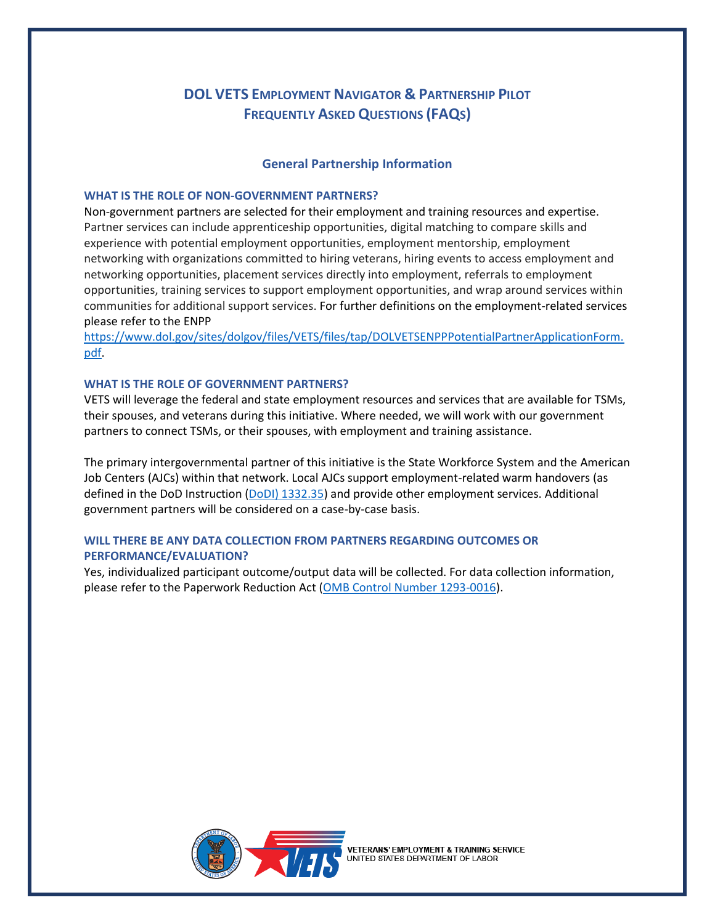# **DOL VETS EMPLOYMENT NAVIGATOR & PARTNERSHIP PILOT FREQUENTLY ASKED QUESTIONS (FAQS)**

### **General Partnership Information**

#### **WHAT IS THE ROLE OF NON-GOVERNMENT PARTNERS?**

Non-government partners are selected for their employment and training resources and expertise. Partner services can include apprenticeship opportunities, digital matching to compare skills and experience with potential employment opportunities, employment mentorship, employment networking with organizations committed to hiring veterans, hiring events to access employment and networking opportunities, placement services directly into employment, referrals to employment opportunities, training services to support employment opportunities, and wrap around services within communities for additional support services. For further definitions on the employment-related services please refer to the ENPP

[https://www.dol.gov/sites/dolgov/files/VETS/files/tap/DOLVETSENPPPotentialPartnerApplicationForm.](https://www.dol.gov/sites/dolgov/files/VETS/files/tap/DOLVETSENPPPotentialPartnerApplicationForm.pdf) [pdf.](https://www.dol.gov/sites/dolgov/files/VETS/files/tap/DOLVETSENPPPotentialPartnerApplicationForm.pdf)

### **WHAT IS THE ROLE OF GOVERNMENT PARTNERS?**

VETS will leverage the federal and state employment resources and services that are available for TSMs, their spouses, and veterans during this initiative. Where needed, we will work with our government partners to connect TSMs, or their spouses, with employment and training assistance.

The primary intergovernmental partner of this initiative is the State Workforce System and the American Job Centers (AJCs) within that network. Local AJCs support employment-related warm handovers (as defined in the DoD Instruction [\(DoDI\) 1332.35\)](https://www.esd.whs.mil/Portals/54/Documents/DD/issuances/dodi/133235p.pdf.) and provide other employment services. Additional government partners will be considered on a case-by-case basis.

### **WILL THERE BE ANY DATA COLLECTION FROM PARTNERS REGARDING OUTCOMES OR PERFORMANCE/EVALUATION?**

Yes, individualized participant outcome/output data will be collected. For data collection information, please refer to the Paperwork Reduction Act [\(OMB Control Number 1293-0016\)](https://www.reginfo.gov/public/do/PRAOMBHistory?ombControlNumber=1293-0016).



**VETERANS' EMPLOYMENT & TRAINING SERVICE** UNITED STATES DEPARTMENT OF LABOR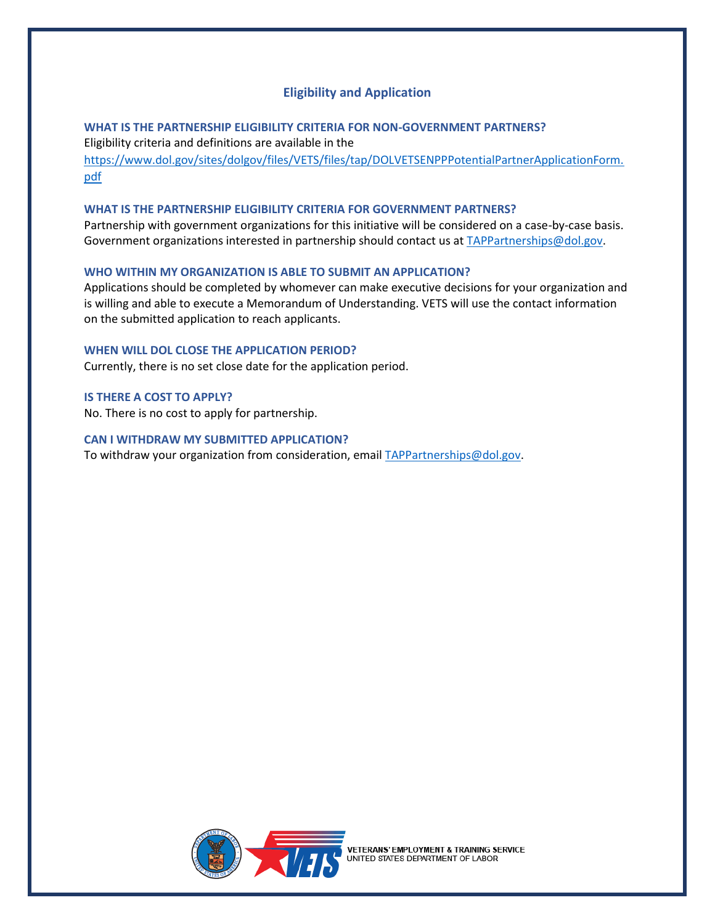# **Eligibility and Application**

### **WHAT IS THE PARTNERSHIP ELIGIBILITY CRITERIA FOR NON-GOVERNMENT PARTNERS?**

Eligibility criteria and definitions are available in the

[https://www.dol.gov/sites/dolgov/files/VETS/files/tap/DOLVETSENPPPotentialPartnerApplicationForm.](https://www.dol.gov/sites/dolgov/files/VETS/files/tap/DOLVETSENPPPotentialPartnerApplicationForm.pdf) [pdf](https://www.dol.gov/sites/dolgov/files/VETS/files/tap/DOLVETSENPPPotentialPartnerApplicationForm.pdf)

### **WHAT IS THE PARTNERSHIP ELIGIBILITY CRITERIA FOR GOVERNMENT PARTNERS?**

Partnership with government organizations for this initiative will be considered on a case-by-case basis. Government organizations interested in partnership should contact us at [TAPPartnerships@dol.gov.](mailto:TAPPartnerships@dol.gov)

### **WHO WITHIN MY ORGANIZATION IS ABLE TO SUBMIT AN APPLICATION?**

Applications should be completed by whomever can make executive decisions for your organization and is willing and able to execute a Memorandum of Understanding. VETS will use the contact information on the submitted application to reach applicants.

### **WHEN WILL DOL CLOSE THE APPLICATION PERIOD?**

Currently, there is no set close date for the application period.

### **IS THERE A COST TO APPLY?**

No. There is no cost to apply for partnership.

### **CAN I WITHDRAW MY SUBMITTED APPLICATION?**

To withdraw your organization from consideration, emai[l TAPPartnerships@dol.gov.](mailto:TAPPartnerships@dol.gov)

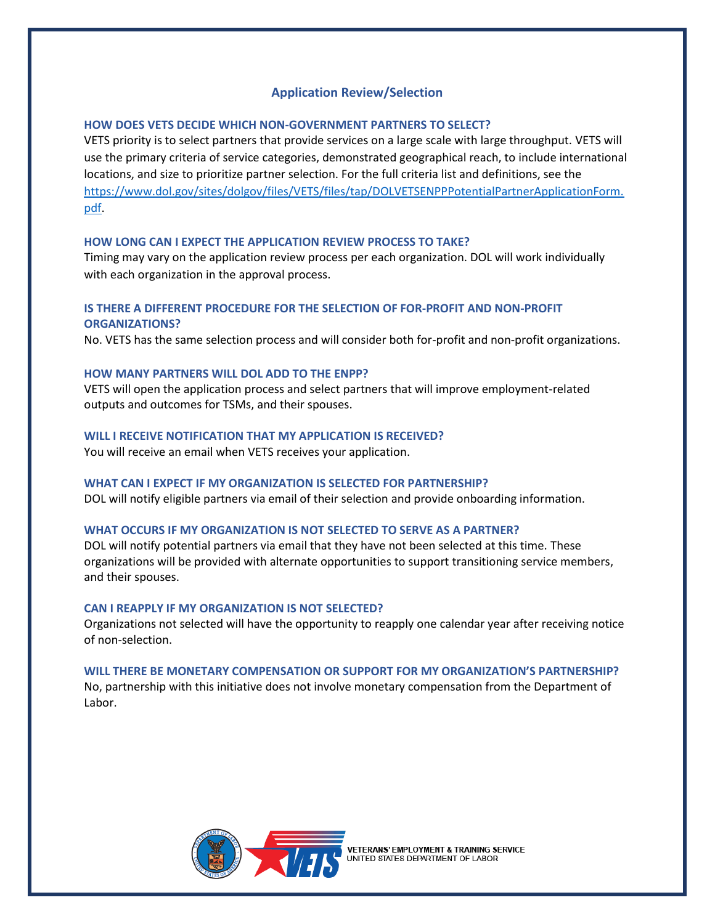## **Application Review/Selection**

### **HOW DOES VETS DECIDE WHICH NON-GOVERNMENT PARTNERS TO SELECT?**

VETS priority is to select partners that provide services on a large scale with large throughput. VETS will use the primary criteria of service categories, demonstrated geographical reach, to include international locations, and size to prioritize partner selection. For the full criteria list and definitions, see the [https://www.dol.gov/sites/dolgov/files/VETS/files/tap/DOLVETSENPPPotentialPartnerApplicationForm.](https://www.dol.gov/sites/dolgov/files/VETS/files/tap/DOLVETSENPPPotentialPartnerApplicationForm.pdf) [pdf.](https://www.dol.gov/sites/dolgov/files/VETS/files/tap/DOLVETSENPPPotentialPartnerApplicationForm.pdf)

### **HOW LONG CAN I EXPECT THE APPLICATION REVIEW PROCESS TO TAKE?**

Timing may vary on the application review process per each organization. DOL will work individually with each organization in the approval process.

### **IS THERE A DIFFERENT PROCEDURE FOR THE SELECTION OF FOR-PROFIT AND NON-PROFIT ORGANIZATIONS?**

No. VETS has the same selection process and will consider both for-profit and non-profit organizations.

### **HOW MANY PARTNERS WILL DOL ADD TO THE ENPP?**

VETS will open the application process and select partners that will improve employment-related outputs and outcomes for TSMs, and their spouses.

### **WILL I RECEIVE NOTIFICATION THAT MY APPLICATION IS RECEIVED?**

You will receive an email when VETS receives your application.

### **WHAT CAN I EXPECT IF MY ORGANIZATION IS SELECTED FOR PARTNERSHIP?**

DOL will notify eligible partners via email of their selection and provide onboarding information.

### **WHAT OCCURS IF MY ORGANIZATION IS NOT SELECTED TO SERVE AS A PARTNER?**

DOL will notify potential partners via email that they have not been selected at this time. These organizations will be provided with alternate opportunities to support transitioning service members, and their spouses.

### **CAN I REAPPLY IF MY ORGANIZATION IS NOT SELECTED?**

Organizations not selected will have the opportunity to reapply one calendar year after receiving notice of non-selection.

#### **WILL THERE BE MONETARY COMPENSATION OR SUPPORT FOR MY ORGANIZATION'S PARTNERSHIP?**

No, partnership with this initiative does not involve monetary compensation from the Department of Labor.



**VETERANS' EMPLOYMENT & TRAINING SERVICE** UNITED STATES DEPARTMENT OF LABOR